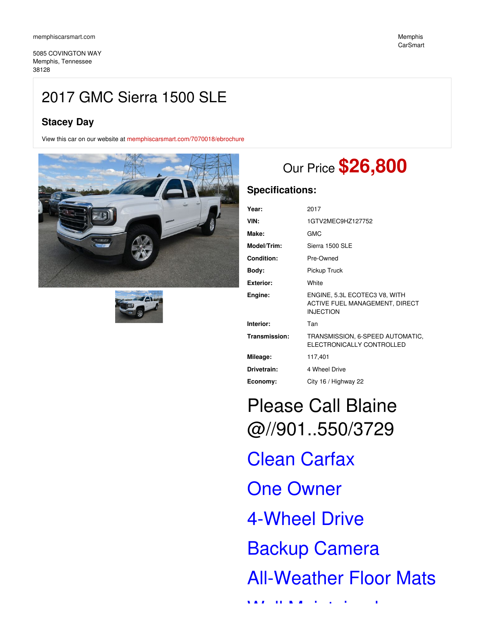5085 COVINGTON WAY Memphis, Tennessee 38128

# 2017 GMC Sierra 1500 SLE

# **Stacey Day**

View this car on our website at [memphiscarsmart.com/7070018/ebrochure](https://memphiscarsmart.com/vehicle/7070018/2017-gmc-sierra-1500-sle-memphis-tennessee-38128/7070018/ebrochure)





# Our Price **\$26,800**

## **Specifications:**

| Year:             | 2017                                                                                |
|-------------------|-------------------------------------------------------------------------------------|
| VIN:              | 1GTV2MEC9HZ127752                                                                   |
| Make:             | <b>GMC</b>                                                                          |
| Model/Trim:       | Sierra 1500 SLE                                                                     |
| <b>Condition:</b> | Pre-Owned                                                                           |
| Body:             | Pickup Truck                                                                        |
| <b>Exterior:</b>  | White                                                                               |
| Engine:           | ENGINE, 5.3L ECOTEC3 V8, WITH<br>ACTIVE FUEL MANAGEMENT, DIRECT<br><b>INJECTION</b> |
| Interior:         | Tan                                                                                 |
| Transmission:     | TRANSMISSION, 6-SPEED AUTOMATIC,<br>ELECTRONICALLY CONTROLLED                       |
| Mileage:          | 117,401                                                                             |
| Drivetrain:       | 4 Wheel Drive                                                                       |
| Economy:          | City 16 / Highway 22                                                                |

# Please Call Blaine @//901..550/3729 Clean Carfax One Owner

4-Wheel Drive

Backup Camera

All-Weather Floor Mats

Well Maintained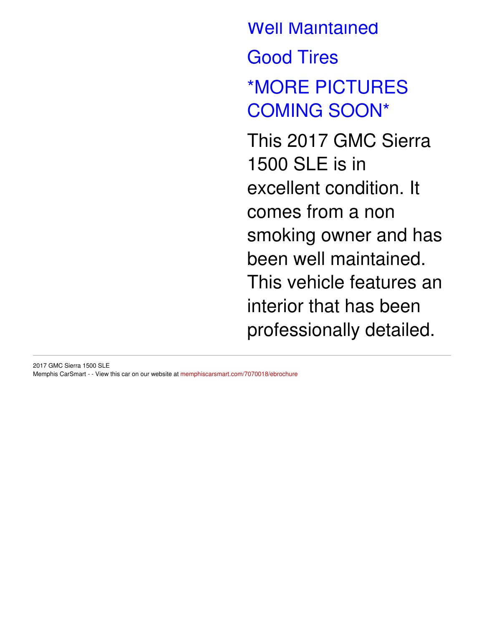Well Maintained Good Tires \*MORE PICTURES COMING SOON\* This 2017 GMC Sierra 1500 SLE is in excellent condition. It comes from a non smoking owner and has been well maintained.

This vehicle features an

interior that has been

professionally detailed.

2017 GMC Sierra 1500 SLE Memphis CarSmart - - View this car on our website at [memphiscarsmart.com/7070018/ebrochure](https://memphiscarsmart.com/vehicle/7070018/2017-gmc-sierra-1500-sle-memphis-tennessee-38128/7070018/ebrochure)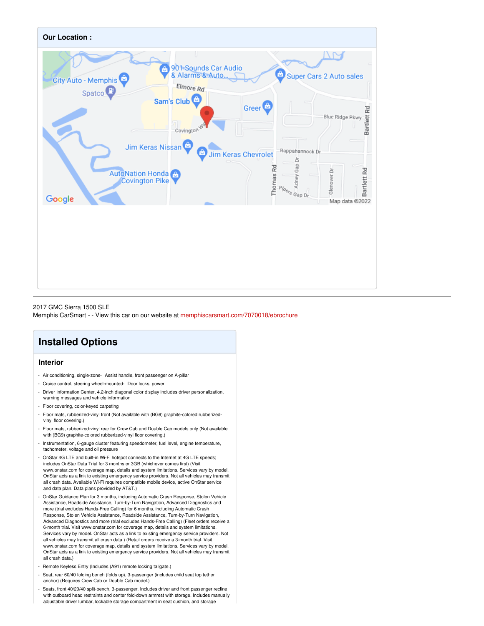

#### 2017 GMC Sierra 1500 SLE

Memphis CarSmart - - View this car on our website at [memphiscarsmart.com/7070018/ebrochure](https://memphiscarsmart.com/vehicle/7070018/2017-gmc-sierra-1500-sle-memphis-tennessee-38128/7070018/ebrochure)

# **Installed Options**

#### **Interior**

- Air conditioning, single-zone- Assist handle, front passenger on A-pillar
- Cruise control, steering wheel-mounted- Door locks, powe
- Driver Information Center, 4.2-inch diagonal color display includes driver personalization, warning messages and vehicle information
- Floor covering, color-keyed carpeting
- Floor mats, rubberized-vinyl front (Not available with (BG9) graphite-colored rubberizedvinyl floor covering.)
- Floor mats, rubberized-vinyl rear for Crew Cab and Double Cab models only (Not available with (BG9) graphite-colored rubberized-vinyl floor covering.)
- Instrumentation, 6-gauge cluster featuring speedometer, fuel level, engine temperature, tachometer, voltage and oil pressure
- OnStar 4G LTE and built-in Wi-Fi hotspot connects to the Internet at 4G LTE speeds; includes OnStar Data Trial for 3 months or 3GB (whichever comes first) (Visit www.onstar.com for coverage map, details and system limitations. Services vary by model. OnStar acts as a link to existing emergency service providers. Not all vehicles may transmit all crash data. Available Wi-Fi requires compatible mobile device, active OnStar service and data plan. Data plans provided by AT&T.)
- OnStar Guidance Plan for 3 months, including Automatic Crash Response, Stolen Vehicle Assistance, Roadside Assistance, Turn-by-Turn Navigation, Advanced Diagnostics and more (trial excludes Hands-Free Calling) for 6 months, including Automatic Crash Response, Stolen Vehicle Assistance, Roadside Assistance, Turn-by-Turn Navigation, Advanced Diagnostics and more (trial excludes Hands-Free Calling) (Fleet orders receive a 6-month trial. Visit www.onstar.com for coverage map, details and system limitations. Services vary by model. OnStar acts as a link to existing emergency service providers. Not all vehicles may transmit all crash data.) (Retail orders receive a 3-month trial. Visit www.onstar.com for coverage map, details and system limitations. Services vary by model. OnStar acts as a link to existing emergency service providers. Not all vehicles may transmit all crash data.)
- Remote Keyless Entry (Includes (A91) remote locking tailgate.)
- Seat, rear 60/40 folding bench (folds up), 3-passenger (includes child seat top tether anchor) (Requires Crew Cab or Double Cab model.)
- Seats, front 40/20/40 split-bench, 3-passenger. Includes driver and front passenger recline with outboard head restraints and center fold-down armrest with storage. Includes manually adiustable driver lumbar. lockable storage compartment in seat cushion, and storage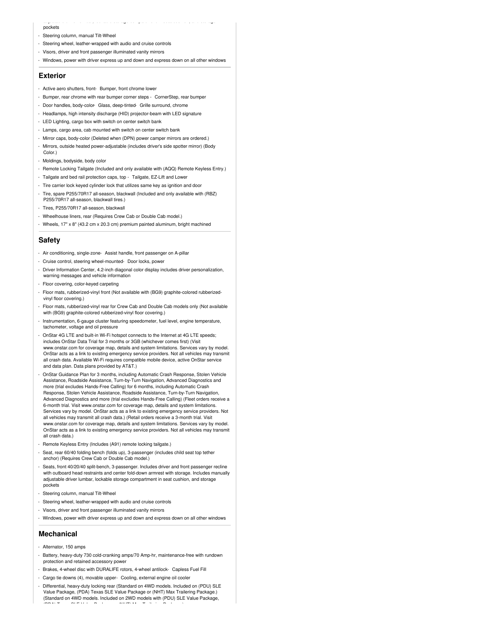#### pockets

- Steering column, manual Tilt-Wheel

- Steering wheel, leather-wrapped with audio and cruise controls
- Visors, driver and front passenger illuminated vanity mirrors
- Windows, power with driver express up and down and express down on all other windows

adjustable driver lumbar, lockable storage compartment in seat cushion, and storage

#### **Exterior**

- Active aero shutters, front- Bumper, front chrome lower
- Bumper, rear chrome with rear bumper corner steps CornerStep, rear bumper
- Door handles, body-color- Glass, deep-tinted- Grille surround, chrome
- Headlamps, high intensity discharge (HID) projector-beam with LED signature
- LED Lighting, cargo box with switch on center switch bank
- Lamps, cargo area, cab mounted with switch on center switch bank
- Mirror caps, body-color (Deleted when (DPN) power camper mirrors are ordered.)
- Mirrors, outside heated power-adjustable (includes driver's side spotter mirror) (Body Color.)
- Moldings, bodyside, body color
- Remote Locking Tailgate (Included and only available with (AQQ) Remote Keyless Entry.)
- Tailgate and bed rail protection caps, top Tailgate, EZ-Lift and Lower
- Tire carrier lock keyed cylinder lock that utilizes same key as ignition and door
- Tire, spare P255/70R17 all-season, blackwall (Included and only available with (RBZ) P255/70R17 all-season, blackwall tires.)
- Tires, P255/70R17 all-season, blackwall
- Wheelhouse liners, rear (Requires Crew Cab or Double Cab model.)
- Wheels, 17" x 8" (43.2 cm x 20.3 cm) premium painted aluminum, bright machined

#### **Safety**

- Air conditioning, single-zone- Assist handle, front passenger on A-pillar
- Cruise control, steering wheel-mounted- Door locks, power
- Driver Information Center, 4.2-inch diagonal color display includes driver personalization, warning messages and vehicle information
- Floor covering, color-keyed carpeting
- Floor mats, rubberized-vinyl front (Not available with (BG9) graphite-colored rubberizedvinyl floor covering.)
- Floor mats, rubberized-vinyl rear for Crew Cab and Double Cab models only (Not available with (BG9) graphite-colored rubberized-vinyl floor covering.)
- Instrumentation, 6-gauge cluster featuring speedometer, fuel level, engine temperature, tachometer, voltage and oil pressure
- OnStar 4G LTE and built-in Wi-Fi hotspot connects to the Internet at 4G LTE speeds; includes OnStar Data Trial for 3 months or 3GB (whichever comes first) (Visit www.onstar.com for coverage map, details and system limitations. Services vary by model. OnStar acts as a link to existing emergency service providers. Not all vehicles may transmit all crash data. Available Wi-Fi requires compatible mobile device, active OnStar service and data plan. Data plans provided by AT&T.)
- OnStar Guidance Plan for 3 months, including Automatic Crash Response, Stolen Vehicle Assistance, Roadside Assistance, Turn-by-Turn Navigation, Advanced Diagnostics and more (trial excludes Hands-Free Calling) for 6 months, including Automatic Crash Response, Stolen Vehicle Assistance, Roadside Assistance, Turn-by-Turn Navigation, Advanced Diagnostics and more (trial excludes Hands-Free Calling) (Fleet orders receive a 6-month trial. Visit www.onstar.com for coverage map, details and system limitations. Services vary by model. OnStar acts as a link to existing emergency service providers. Not all vehicles may transmit all crash data.) (Retail orders receive a 3-month trial. Visit www.onstar.com for coverage map, details and system limitations. Services vary by model. OnStar acts as a link to existing emergency service providers. Not all vehicles may transmit all crash data.)
- Remote Keyless Entry (Includes (A91) remote locking tailgate.)
- Seat, rear 60/40 folding bench (folds up), 3-passenger (includes child seat top tether anchor) (Requires Crew Cab or Double Cab model.)
- Seats, front 40/20/40 split-bench, 3-passenger. Includes driver and front passenger recline with outboard head restraints and center fold-down armrest with storage. Includes manually adjustable driver lumbar, lockable storage compartment in seat cushion, and storage pockets
- Steering column, manual Tilt-Wheel
- Steering wheel, leather-wrapped with audio and cruise controls
- Visors, driver and front passenger illuminated vanity mirrors
- Windows, power with driver express up and down and express down on all other windows

#### **Mechanical**

- Alternator, 150 amps
- Battery, heavy-duty 730 cold-cranking amps/70 Amp-hr, maintenance-free with rundown protection and retained accessory power
- Brakes, 4-wheel disc with DURALIFE rotors, 4-wheel antilock- Capless Fuel Fill
- Cargo tie downs (4), movable upper- Cooling, external engine oil cooler
- Differential, heavy-duty locking rear (Standard on 4WD models. Included on (PDU) SLE Value Package, (PDA) Texas SLE Value Package or (NHT) Max Trailering Package.) (Standard on 4WD models. Included on 2WD models with (PDU) SLE Value Package, (PDA) Texas SLE Value Package or (NHT) Max Trailering Package.)